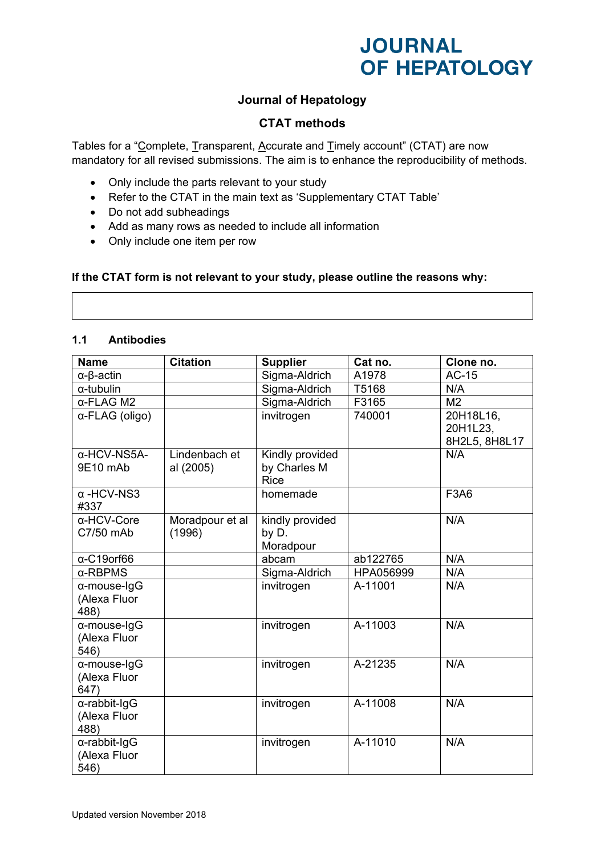## **Journal of Hepatology**

### **CTAT methods**

Tables for a "Complete, Transparent, Accurate and Timely account" (CTAT) are now mandatory for all revised submissions. The aim is to enhance the reproducibility of methods.

- Only include the parts relevant to your study
- Refer to the CTAT in the main text as 'Supplementary CTAT Table'
- Do not add subheadings
- Add as many rows as needed to include all information
- Only include one item per row

#### **If the CTAT form is not relevant to your study, please outline the reasons why:**

### **1.1 Antibodies**

| <b>Name</b>               | <b>Citation</b> | <b>Supplier</b> | Cat no.   | Clone no.      |
|---------------------------|-----------------|-----------------|-----------|----------------|
| $\alpha$ - $\beta$ -actin |                 | Sigma-Aldrich   | A1978     | <b>AC-15</b>   |
| $\alpha$ -tubulin         |                 | Sigma-Aldrich   | T5168     | N/A            |
| $\alpha$ -FLAG M2         |                 | Sigma-Aldrich   | F3165     | M <sub>2</sub> |
| α-FLAG (oligo)            |                 | invitrogen      | 740001    | 20H18L16,      |
|                           |                 |                 |           | 20H1L23,       |
|                           |                 |                 |           | 8H2L5, 8H8L17  |
| α-HCV-NS5A-               | Lindenbach et   | Kindly provided |           | N/A            |
| 9E10 mAb                  | al (2005)       | by Charles M    |           |                |
|                           |                 | <b>Rice</b>     |           |                |
| $\alpha$ -HCV-NS3         |                 | homemade        |           | <b>F3A6</b>    |
| #337                      |                 |                 |           |                |
| α-HCV-Core                | Moradpour et al | kindly provided |           | N/A            |
| C7/50 mAb                 | (1996)          | by D.           |           |                |
|                           |                 | Moradpour       |           |                |
| $\alpha$ -C19orf66        |                 | abcam           | ab122765  | N/A            |
| $\alpha$ -RBPMS           |                 | Sigma-Aldrich   | HPA056999 | N/A            |
| α-mouse-IgG               |                 | invitrogen      | A-11001   | N/A            |
| (Alexa Fluor              |                 |                 |           |                |
| 488)                      |                 |                 |           |                |
| α-mouse-IgG               |                 | invitrogen      | A-11003   | N/A            |
| (Alexa Fluor              |                 |                 |           |                |
| 546)                      |                 |                 |           |                |
| α-mouse-IgG               |                 | invitrogen      | A-21235   | N/A            |
| (Alexa Fluor              |                 |                 |           |                |
| 647)                      |                 |                 |           |                |
| $\alpha$ -rabbit-IgG      |                 | invitrogen      | A-11008   | N/A            |
| (Alexa Fluor              |                 |                 |           |                |
| 488)                      |                 |                 |           |                |
| $\alpha$ -rabbit-IgG      |                 | invitrogen      | A-11010   | N/A            |
| (Alexa Fluor              |                 |                 |           |                |
| 546)                      |                 |                 |           |                |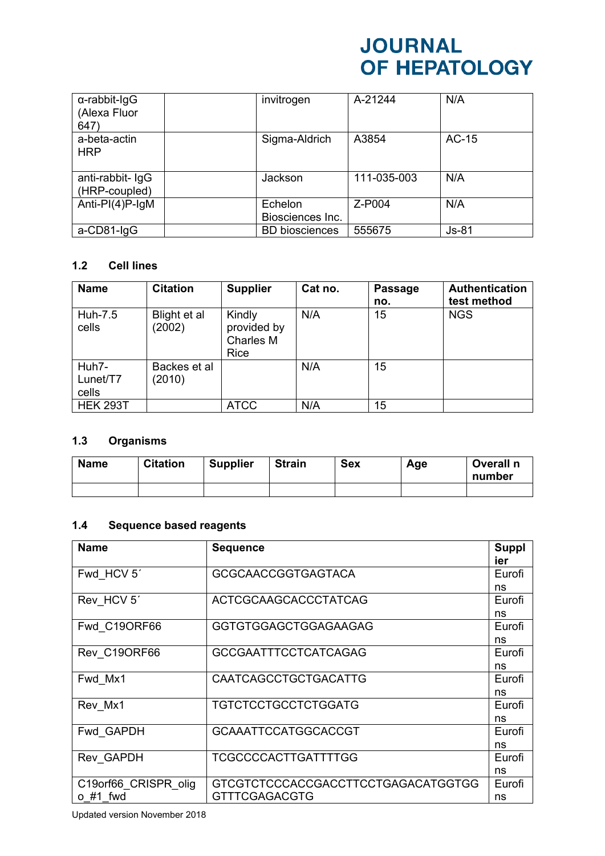| $\alpha$ -rabbit-IgG<br>(Alexa Fluor | invitrogen                  | A-21244     | N/A     |
|--------------------------------------|-----------------------------|-------------|---------|
| 647)                                 |                             |             |         |
| a-beta-actin<br><b>HRP</b>           | Sigma-Aldrich               | A3854       | AC-15   |
| anti-rabbit- IgG<br>(HRP-coupled)    | Jackson                     | 111-035-003 | N/A     |
| Anti-PI $(4)$ P-IgM                  | Echelon<br>Biosciences Inc. | Z-P004      | N/A     |
| a-CD81-IgG                           | <b>BD</b> biosciences       | 555675      | $Js-81$ |

### **1.2 Cell lines**

| <b>Name</b>                | <b>Citation</b>        | <b>Supplier</b>                            | Cat no. | <b>Passage</b><br>no. | <b>Authentication</b><br>test method |
|----------------------------|------------------------|--------------------------------------------|---------|-----------------------|--------------------------------------|
| Huh-7.5<br>cells           | Blight et al<br>(2002) | Kindly<br>provided by<br>Charles M<br>Rice | N/A     | 15                    | <b>NGS</b>                           |
| Huh7-<br>Lunet/T7<br>cells | Backes et al<br>(2010) |                                            | N/A     | 15                    |                                      |
| <b>HEK 293T</b>            |                        | <b>ATCC</b>                                | N/A     | 15                    |                                      |

## **1.3 Organisms**

| <b>Name</b> | <b>Citation</b> | <b>Supplier</b> | <b>Strain</b> | <b>Sex</b> | Age | Overall n<br>number |
|-------------|-----------------|-----------------|---------------|------------|-----|---------------------|
|             |                 |                 |               |            |     |                     |

### **1.4 Sequence based reagents**

| <b>Name</b>          | <b>Sequence</b>                    | <b>Suppl</b><br>ier |
|----------------------|------------------------------------|---------------------|
| Fwd HCV 5'           | <b>GCGCAACCGGTGAGTACA</b>          | Eurofi              |
|                      |                                    | ns                  |
| Rev HCV 5'           | <b>ACTCGCAAGCACCCTATCAG</b>        | Eurofi              |
|                      |                                    | ns                  |
| Fwd C19ORF66         | <b>GGTGTGGAGCTGGAGAAGAG</b>        | Eurofi              |
|                      |                                    | ns                  |
| Rev C19ORF66         | <b>GCCGAATTTCCTCATCAGAG</b>        | Eurofi              |
|                      |                                    | ns                  |
| Fwd Mx1              | CAATCAGCCTGCTGACATTG               | Eurofi              |
|                      |                                    | ns                  |
| Rev Mx1              | <b>TGTCTCCTGCCTCTGGATG</b>         | Eurofi              |
|                      |                                    | ns                  |
| Fwd GAPDH            | <b>GCAAATTCCATGGCACCGT</b>         | Eurofi              |
|                      |                                    | ns                  |
| Rev GAPDH            | TCGCCCCACTTGATTTTGG                | Eurofi              |
|                      |                                    | ns                  |
| C19orf66_CRISPR_olig | GTCGTCTCCCACCGACCTTCCTGAGACATGGTGG | Eurofi              |
| #1 fwd<br>$\Omega$   | <b>GTTTCGAGACGTG</b>               | ns                  |

Updated version November 2018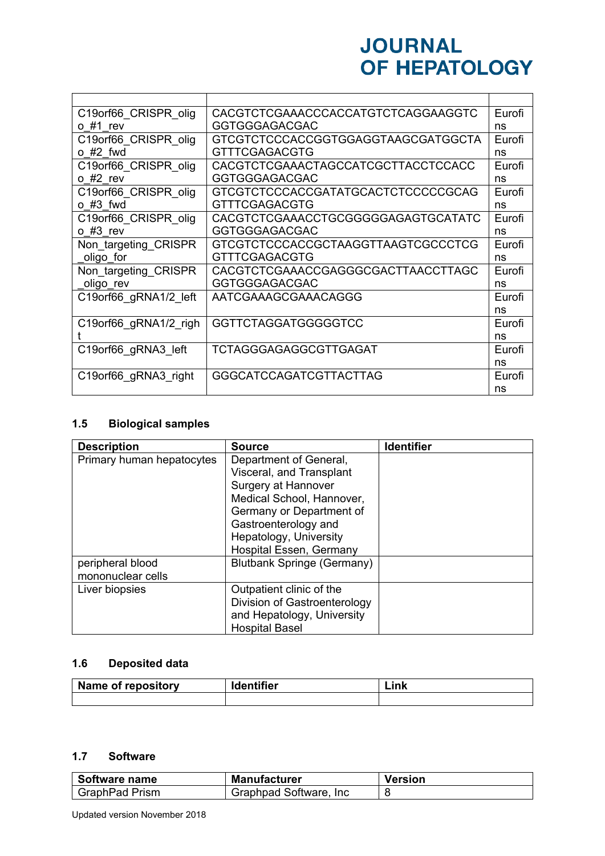| C19 or f66 CRISPR olig | CACGTCTCGAAACCCACCATGTCTCAGGAAGGTC  | Eurofi |
|------------------------|-------------------------------------|--------|
| o #1 rev               | <b>GGTGGGAGACGAC</b>                | ns     |
| C19orf66 CRISPR olig   | GTCGTCTCCCACCGGTGGAGGTAAGCGATGGCTA  | Eurofi |
| $o$ #2 fwd             | <b>GTTTCGAGACGTG</b>                | ns     |
| C19orf66_CRISPR_olig   | CACGTCTCGAAACTAGCCATCGCTTACCTCCACC  | Eurofi |
| $o$ #2 rev             | <b>GGTGGGAGACGAC</b>                | ns     |
| C19orf66 CRISPR olig   | GTCGTCTCCCACCGATATGCACTCTCCCCCCGCAG | Eurofi |
| $o$ #3 fwd             | <b>GTTTCGAGACGTG</b>                | ns     |
| C19orf66 CRISPR olig   | CACGTCTCGAAACCTGCGGGGGAGAGTGCATATC  | Eurofi |
| $o$ #3 rev             | <b>GGTGGGAGACGAC</b>                | ns     |
| Non targeting CRISPR   | GTCGTCTCCCACCGCTAAGGTTAAGTCGCCCTCG  | Eurofi |
| oligo for              | <b>GTTTCGAGACGTG</b>                | ns     |
| Non_targeting_CRISPR   | CACGTCTCGAAACCGAGGGCGACTTAACCTTAGC  | Eurofi |
| oligo rev              | <b>GGTGGGAGACGAC</b>                | ns     |
| C19orf66 gRNA1/2 left  | AATCGAAAGCGAAACAGGG                 | Eurofi |
|                        |                                     | ns     |
| C19orf66 gRNA1/2 righ  | <b>GGTTCTAGGATGGGGGTCC</b>          | Eurofi |
|                        |                                     | ns     |
| C19orf66 gRNA3 left    | TCTAGGGAGAGGCGTTGAGAT               | Eurofi |
|                        |                                     | ns     |
| C19orf66 gRNA3 right   | <b>GGGCATCCAGATCGTTACTTAG</b>       | Eurofi |
|                        |                                     | ns     |

## **1.5 Biological samples**

| <b>Description</b>        | <b>Source</b>                     | <b>Identifier</b> |
|---------------------------|-----------------------------------|-------------------|
| Primary human hepatocytes | Department of General,            |                   |
|                           | Visceral, and Transplant          |                   |
|                           | Surgery at Hannover               |                   |
|                           | Medical School, Hannover,         |                   |
|                           | Germany or Department of          |                   |
|                           | Gastroenterology and              |                   |
|                           | Hepatology, University            |                   |
|                           | Hospital Essen, Germany           |                   |
| peripheral blood          | <b>Blutbank Springe (Germany)</b> |                   |
| mononuclear cells         |                                   |                   |
| Liver biopsies            | Outpatient clinic of the          |                   |
|                           | Division of Gastroenterology      |                   |
|                           | and Hepatology, University        |                   |
|                           | <b>Hospital Basel</b>             |                   |

## **1.6 Deposited data**

| Name of repository | <b>Identifier</b> | ink<br>-ink |
|--------------------|-------------------|-------------|
|                    |                   |             |

### **1.7 Software**

| Software name         | Manufacturer            | <b>Version</b> |
|-----------------------|-------------------------|----------------|
| <b>GraphPad Prism</b> | Graphpad Software, Inc. |                |